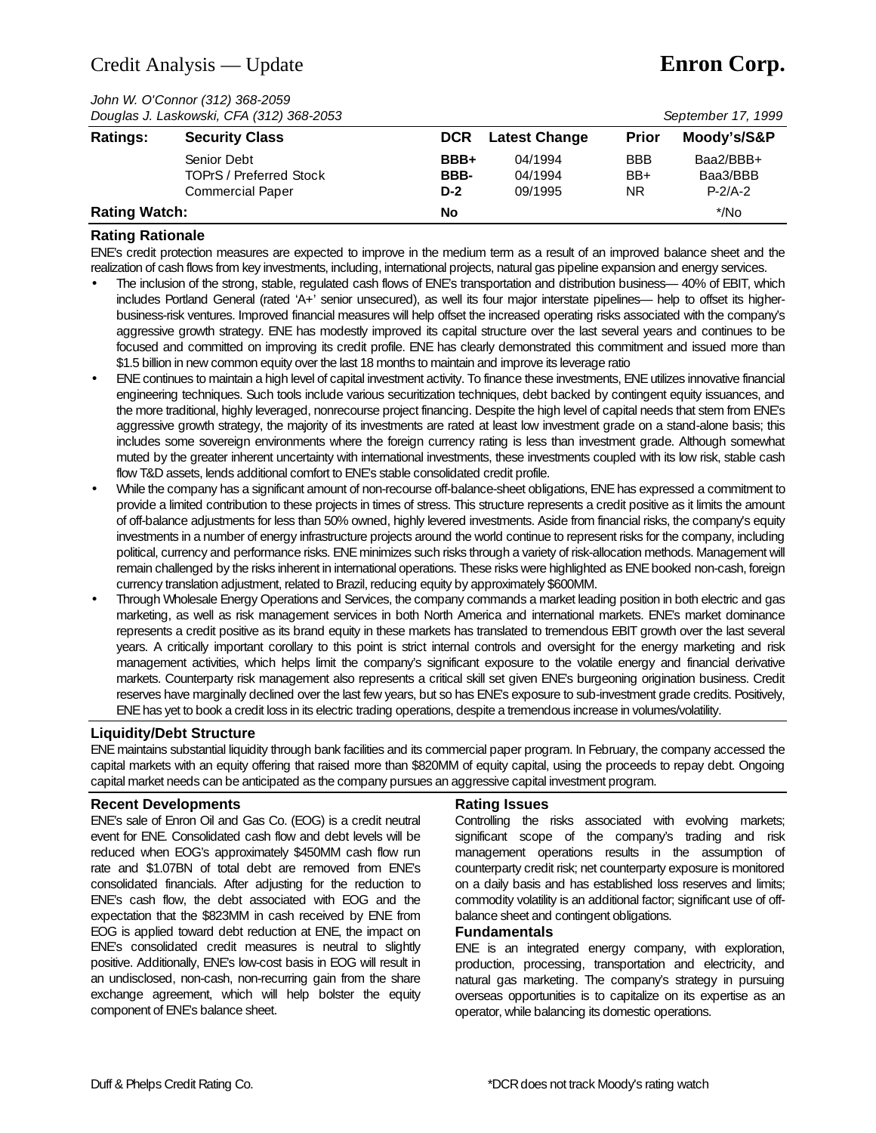## Credit Analysis — Update **Enron Corp.**

*John W. O'Connor (312) 368-2059*

| Douglas J. Laskowski, CFA (312) 368-2053 |                                                                          |                       |                               | September 17, 1999               |                                    |  |
|------------------------------------------|--------------------------------------------------------------------------|-----------------------|-------------------------------|----------------------------------|------------------------------------|--|
| <b>Ratings:</b>                          | <b>Security Class</b>                                                    | <b>DCR</b>            | <b>Latest Change</b>          | <b>Prior</b>                     | Moody's/S&P                        |  |
|                                          | Senior Debt<br><b>TOPrS / Preferred Stock</b><br><b>Commercial Paper</b> | BBB+<br>BBB-<br>$D-2$ | 04/1994<br>04/1994<br>09/1995 | <b>BBB</b><br>$BB+$<br><b>NR</b> | Baa2/BBB+<br>Baa3/BBB<br>$P-2/A-2$ |  |
| <b>Rating Watch:</b>                     |                                                                          | No                    |                               |                                  | $^*/$ No                           |  |

### **Rating Rationale**

ENE's credit protection measures are expected to improve in the medium term as a result of an improved balance sheet and the realization of cash flows from key investments, including, international projects, natural gas pipeline expansion and energy services.

- The inclusion of the strong, stable, regulated cash flows of ENE's transportation and distribution business— 40% of EBIT, which includes Portland General (rated 'A+' senior unsecured), as well its four major interstate pipelines— help to offset its higherbusiness-risk ventures. Improved financial measures will help offset the increased operating risks associated with the company's aggressive growth strategy. ENE has modestly improved its capital structure over the last several years and continues to be focused and committed on improving its credit profile. ENE has clearly demonstrated this commitment and issued more than \$1.5 billion in new common equity over the last 18 months to maintain and improve its leverage ratio
- ENE continues to maintain a high level of capital investment activity. To finance these investments, ENE utilizes innovative financial engineering techniques. Such tools include various securitization techniques, debt backed by contingent equity issuances, and the more traditional, highly leveraged, nonrecourse project financing. Despite the high level of capital needs that stem from ENE's aggressive growth strategy, the majority of its investments are rated at least low investment grade on a stand-alone basis; this includes some sovereign environments where the foreign currency rating is less than investment grade. Although somewhat muted by the greater inherent uncertainty with international investments, these investments coupled with its low risk, stable cash flow T&D assets, lends additional comfort to ENE's stable consolidated credit profile.
- While the company has a significant amount of non-recourse off-balance-sheet obligations, ENE has expressed a commitment to provide a limited contribution to these projects in times of stress. This structure represents a credit positive as it limits the amount of off-balance adjustments for less than 50% owned, highly levered investments. Aside from financial risks, the company's equity investments in a number of energy infrastructure projects around the world continue to represent risks for the company, including political, currency and performance risks. ENE minimizes such risks through a variety of risk-allocation methods. Management will remain challenged by the risks inherent in international operations. These risks were highlighted as ENE booked non-cash, foreign currency translation adjustment, related to Brazil, reducing equity by approximately \$600MM.
- Through Wholesale Energy Operations and Services, the company commands a market leading position in both electric and gas marketing, as well as risk management services in both North America and international markets. ENE's market dominance represents a credit positive as its brand equity in these markets has translated to tremendous EBIT growth over the last several years. A critically important corollary to this point is strict internal controls and oversight for the energy marketing and risk management activities, which helps limit the company's significant exposure to the volatile energy and financial derivative markets. Counterparty risk management also represents a critical skill set given ENE's burgeoning origination business. Credit reserves have marginally declined over the last few years, but so has ENE's exposure to sub-investment grade credits. Positively, ENE has yet to book a credit loss in its electric trading operations, despite a tremendous increase in volumes/volatility.

#### **Liquidity/Debt Structure**

ENE maintains substantial liquidity through bank facilities and its commercial paper program. In February, the company accessed the capital markets with an equity offering that raised more than \$820MM of equity capital, using the proceeds to repay debt. Ongoing capital market needs can be anticipated as the company pursues an aggressive capital investment program.

#### **Recent Developments**

ENE's sale of Enron Oil and Gas Co. (EOG) is a credit neutral event for ENE. Consolidated cash flow and debt levels will be reduced when EOG's approximately \$450MM cash flow run rate and \$1.07BN of total debt are removed from ENE's consolidated financials. After adjusting for the reduction to ENE's cash flow, the debt associated with EOG and the expectation that the \$823MM in cash received by ENE from EOG is applied toward debt reduction at ENE, the impact on ENE's consolidated credit measures is neutral to slightly positive. Additionally, ENE's low-cost basis in EOG will result in an undisclosed, non-cash, non-recurring gain from the share exchange agreement, which will help bolster the equity component of ENE's balance sheet.

#### **Rating Issues**

Controlling the risks associated with evolving markets; significant scope of the company's trading and risk management operations results in the assumption of counterparty credit risk; net counterparty exposure is monitored on a daily basis and has established loss reserves and limits; commodity volatility is an additional factor; significant use of offbalance sheet and contingent obligations.

#### **Fundamentals**

ENE is an integrated energy company, with exploration, production, processing, transportation and electricity, and natural gas marketing. The company's strategy in pursuing overseas opportunities is to capitalize on its expertise as an operator, while balancing its domestic operations.